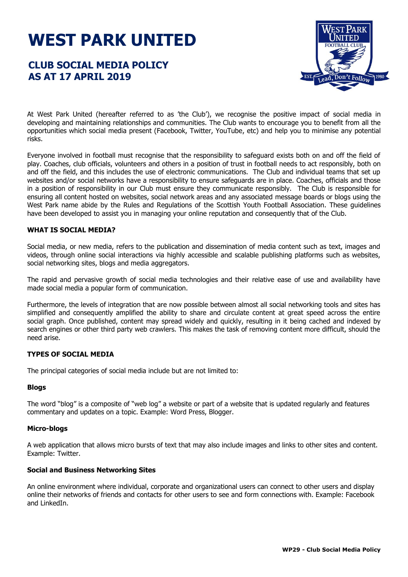# **WEST PARK UNITED**

# **CLUB SOCIAL MEDIA POLICY AS AT 17 APRIL 2019**



At West Park United (hereafter referred to as 'the Club'), we recognise the positive impact of social media in developing and maintaining relationships and communities. The Club wants to encourage you to benefit from all the opportunities which social media present (Facebook, Twitter, YouTube, etc) and help you to minimise any potential risks.

Everyone involved in football must recognise that the responsibility to safeguard exists both on and off the field of play. Coaches, club officials, volunteers and others in a position of trust in football needs to act responsibly, both on and off the field, and this includes the use of electronic communications. The Club and individual teams that set up websites and/or social networks have a responsibility to ensure safeguards are in place. Coaches, officials and those in a position of responsibility in our Club must ensure they communicate responsibly. The Club is responsible for ensuring all content hosted on websites, social network areas and any associated message boards or blogs using the West Park name abide by the Rules and Regulations of the Scottish Youth Football Association. These guidelines have been developed to assist you in managing your online reputation and consequently that of the Club.

# **WHAT IS SOCIAL MEDIA?**

Social media, or new media, refers to the publication and dissemination of media content such as text, images and videos, through online social interactions via highly accessible and scalable publishing platforms such as websites, social networking sites, blogs and media aggregators.

The rapid and pervasive growth of social media technologies and their relative ease of use and availability have made social media a popular form of communication.

Furthermore, the levels of integration that are now possible between almost all social networking tools and sites has simplified and consequently amplified the ability to share and circulate content at great speed across the entire social graph. Once published, content may spread widely and quickly, resulting in it being cached and indexed by search engines or other third party web crawlers. This makes the task of removing content more difficult, should the need arise.

# **TYPES OF SOCIAL MEDIA**

The principal categories of social media include but are not limited to:

# **Blogs**

The word "blog" is a composite of "web log" a website or part of a website that is updated regularly and features commentary and updates on a topic. Example: Word Press, Blogger.

# **Micro-blogs**

A web application that allows micro bursts of text that may also include images and links to other sites and content. Example: Twitter.

# **Social and Business Networking Sites**

An online environment where individual, corporate and organizational users can connect to other users and display online their networks of friends and contacts for other users to see and form connections with. Example: Facebook and LinkedIn.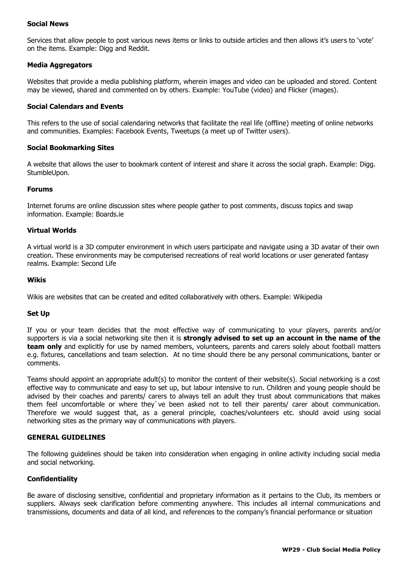# **Social News**

Services that allow people to post various news items or links to outside articles and then allows it's users to 'vote' on the items. Example: Digg and Reddit.

# **Media Aggregators**

Websites that provide a media publishing platform, wherein images and video can be uploaded and stored. Content may be viewed, shared and commented on by others. Example: YouTube (video) and Flicker (images).

# **Social Calendars and Events**

This refers to the use of social calendaring networks that facilitate the real life (offline) meeting of online networks and communities. Examples: Facebook Events, Tweetups (a meet up of Twitter users).

#### **Social Bookmarking Sites**

A website that allows the user to bookmark content of interest and share it across the social graph. Example: Digg. StumbleUpon.

#### **Forums**

Internet forums are online discussion sites where people gather to post comments, discuss topics and swap information. Example: Boards.ie

#### **Virtual Worlds**

A virtual world is a 3D computer environment in which users participate and navigate using a 3D avatar of their own creation. These environments may be computerised recreations of real world locations or user generated fantasy realms. Example: Second Life

#### **Wikis**

Wikis are websites that can be created and edited collaboratively with others. Example: Wikipedia

#### **Set Up**

If you or your team decides that the most effective way of communicating to your players, parents and/or supporters is via a social networking site then it is **strongly advised to set up an account in the name of the team only** and explicitly for use by named members, volunteers, parents and carers solely about football matters e.g. fixtures, cancellations and team selection. At no time should there be any personal communications, banter or comments.

Teams should appoint an appropriate adult(s) to monitor the content of their website(s). Social networking is a cost effective way to communicate and easy to set up, but labour intensive to run. Children and young people should be advised by their coaches and parents/ carers to always tell an adult they trust about communications that makes them feel uncomfortable or where they`ve been asked not to tell their parents/ carer about communication. Therefore we would suggest that, as a general principle, coaches/volunteers etc. should avoid using social networking sites as the primary way of communications with players.

#### **GENERAL GUIDELINES**

The following guidelines should be taken into consideration when engaging in online activity including social media and social networking.

# **Confidentiality**

Be aware of disclosing sensitive, confidential and proprietary information as it pertains to the Club, its members or suppliers. Always seek clarification before commenting anywhere. This includes all internal communications and transmissions, documents and data of all kind, and references to the company's financial performance or situation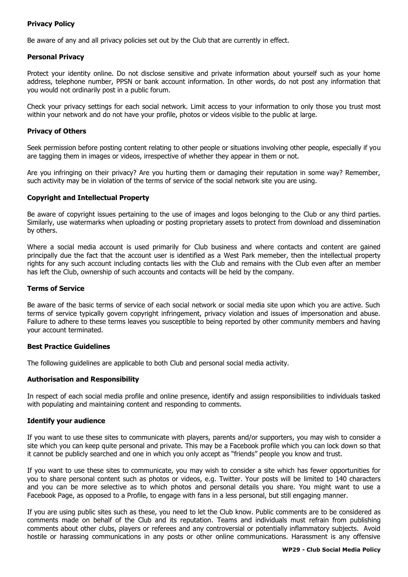# **Privacy Policy**

Be aware of any and all privacy policies set out by the Club that are currently in effect.

# **Personal Privacy**

Protect your identity online. Do not disclose sensitive and private information about yourself such as your home address, telephone number, PPSN or bank account information. In other words, do not post any information that you would not ordinarily post in a public forum.

Check your privacy settings for each social network. Limit access to your information to only those you trust most within your network and do not have your profile, photos or videos visible to the public at large.

# **Privacy of Others**

Seek permission before posting content relating to other people or situations involving other people, especially if you are tagging them in images or videos, irrespective of whether they appear in them or not.

Are you infringing on their privacy? Are you hurting them or damaging their reputation in some way? Remember, such activity may be in violation of the terms of service of the social network site you are using.

# **Copyright and Intellectual Property**

Be aware of copyright issues pertaining to the use of images and logos belonging to the Club or any third parties. Similarly, use watermarks when uploading or posting proprietary assets to protect from download and dissemination by others.

Where a social media account is used primarily for Club business and where contacts and content are gained principally due the fact that the account user is identified as a West Park memeber, then the intellectual property rights for any such account including contacts lies with the Club and remains with the Club even after an member has left the Club, ownership of such accounts and contacts will be held by the company.

# **Terms of Service**

Be aware of the basic terms of service of each social network or social media site upon which you are active. Such terms of service typically govern copyright infringement, privacy violation and issues of impersonation and abuse. Failure to adhere to these terms leaves you susceptible to being reported by other community members and having your account terminated.

# **Best Practice Guidelines**

The following guidelines are applicable to both Club and personal social media activity.

# **Authorisation and Responsibility**

In respect of each social media profile and online presence, identify and assign responsibilities to individuals tasked with populating and maintaining content and responding to comments.

# **Identify your audience**

If you want to use these sites to communicate with players, parents and/or supporters, you may wish to consider a site which you can keep quite personal and private. This may be a Facebook profile which you can lock down so that it cannot be publicly searched and one in which you only accept as "friends" people you know and trust.

If you want to use these sites to communicate, you may wish to consider a site which has fewer opportunities for you to share personal content such as photos or videos, e.g. Twitter. Your posts will be limited to 140 characters and you can be more selective as to which photos and personal details you share. You might want to use a Facebook Page, as opposed to a Profile, to engage with fans in a less personal, but still engaging manner.

If you are using public sites such as these, you need to let the Club know. Public comments are to be considered as comments made on behalf of the Club and its reputation. Teams and individuals must refrain from publishing comments about other clubs, players or referees and any controversial or potentially inflammatory subjects. Avoid hostile or harassing communications in any posts or other online communications. Harassment is any offensive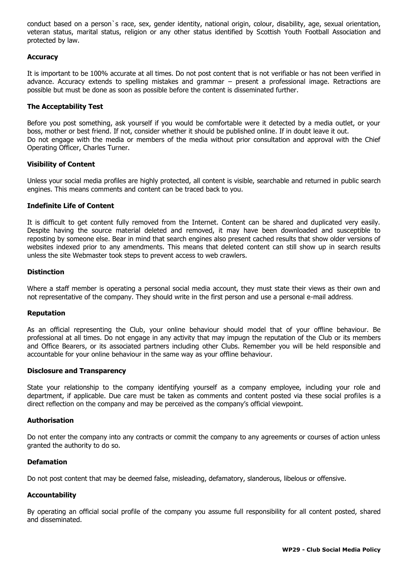conduct based on a person`s race, sex, gender identity, national origin, colour, disability, age, sexual orientation, veteran status, marital status, religion or any other status identified by Scottish Youth Football Association and protected by law.

#### **Accuracy**

It is important to be 100% accurate at all times. Do not post content that is not verifiable or has not been verified in advance. Accuracy extends to spelling mistakes and grammar – present a professional image. Retractions are possible but must be done as soon as possible before the content is disseminated further.

#### **The Acceptability Test**

Before you post something, ask yourself if you would be comfortable were it detected by a media outlet, or your boss, mother or best friend. If not, consider whether it should be published online. If in doubt leave it out. Do not engage with the media or members of the media without prior consultation and approval with the Chief Operating Officer, Charles Turner.

#### **Visibility of Content**

Unless your social media profiles are highly protected, all content is visible, searchable and returned in public search engines. This means comments and content can be traced back to you.

#### **Indefinite Life of Content**

It is difficult to get content fully removed from the Internet. Content can be shared and duplicated very easily. Despite having the source material deleted and removed, it may have been downloaded and susceptible to reposting by someone else. Bear in mind that search engines also present cached results that show older versions of websites indexed prior to any amendments. This means that deleted content can still show up in search results unless the site Webmaster took steps to prevent access to web crawlers.

#### **Distinction**

Where a staff member is operating a personal social media account, they must state their views as their own and not representative of the company. They should write in the first person and use a personal e-mail address.

#### **Reputation**

As an official representing the Club, your online behaviour should model that of your offline behaviour. Be professional at all times. Do not engage in any activity that may impugn the reputation of the Club or its members and Office Bearers, or its associated partners including other Clubs. Remember you will be held responsible and accountable for your online behaviour in the same way as your offline behaviour.

#### **Disclosure and Transparency**

State your relationship to the company identifying yourself as a company employee, including your role and department, if applicable. Due care must be taken as comments and content posted via these social profiles is a direct reflection on the company and may be perceived as the company's official viewpoint.

#### **Authorisation**

Do not enter the company into any contracts or commit the company to any agreements or courses of action unless granted the authority to do so.

#### **Defamation**

Do not post content that may be deemed false, misleading, defamatory, slanderous, libelous or offensive.

# **Accountability**

By operating an official social profile of the company you assume full responsibility for all content posted, shared and disseminated.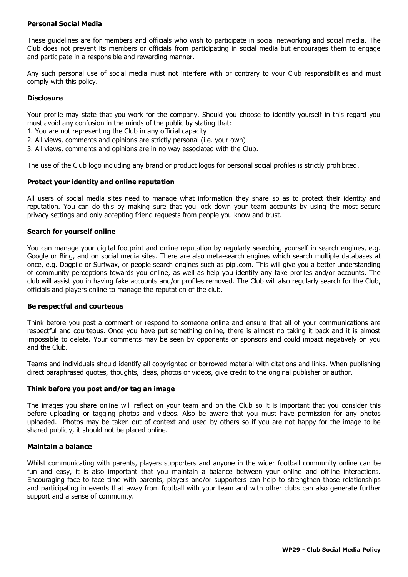# **Personal Social Media**

These guidelines are for members and officials who wish to participate in social networking and social media. The Club does not prevent its members or officials from participating in social media but encourages them to engage and participate in a responsible and rewarding manner.

Any such personal use of social media must not interfere with or contrary to your Club responsibilities and must comply with this policy.

# **Disclosure**

Your profile may state that you work for the company. Should you choose to identify yourself in this regard you must avoid any confusion in the minds of the public by stating that:

1. You are not representing the Club in any official capacity

- 2. All views, comments and opinions are strictly personal (i.e. your own)
- 3. All views, comments and opinions are in no way associated with the Club.

The use of the Club logo including any brand or product logos for personal social profiles is strictly prohibited.

#### **Protect your identity and online reputation**

All users of social media sites need to manage what information they share so as to protect their identity and reputation. You can do this by making sure that you lock down your team accounts by using the most secure privacy settings and only accepting friend requests from people you know and trust.

#### **Search for yourself online**

You can manage your digital footprint and online reputation by regularly searching yourself in search engines, e.g. Google or Bing, and on social media sites. There are also meta-search engines which search multiple databases at once, e.g. Dogpile or Surfwax, or people search engines such as pipl.com. This will give you a better understanding of community perceptions towards you online, as well as help you identify any fake profiles and/or accounts. The club will assist you in having fake accounts and/or profiles removed. The Club will also regularly search for the Club, officials and players online to manage the reputation of the club.

#### **Be respectful and courteous**

Think before you post a comment or respond to someone online and ensure that all of your communications are respectful and courteous. Once you have put something online, there is almost no taking it back and it is almost impossible to delete. Your comments may be seen by opponents or sponsors and could impact negatively on you and the Club.

Teams and individuals should identify all copyrighted or borrowed material with citations and links. When publishing direct paraphrased quotes, thoughts, ideas, photos or videos, give credit to the original publisher or author.

#### **Think before you post and/or tag an image**

The images you share online will reflect on your team and on the Club so it is important that you consider this before uploading or tagging photos and videos. Also be aware that you must have permission for any photos uploaded. Photos may be taken out of context and used by others so if you are not happy for the image to be shared publicly, it should not be placed online.

#### **Maintain a balance**

Whilst communicating with parents, players supporters and anyone in the wider football community online can be fun and easy, it is also important that you maintain a balance between your online and offline interactions. Encouraging face to face time with parents, players and/or supporters can help to strengthen those relationships and participating in events that away from football with your team and with other clubs can also generate further support and a sense of community.